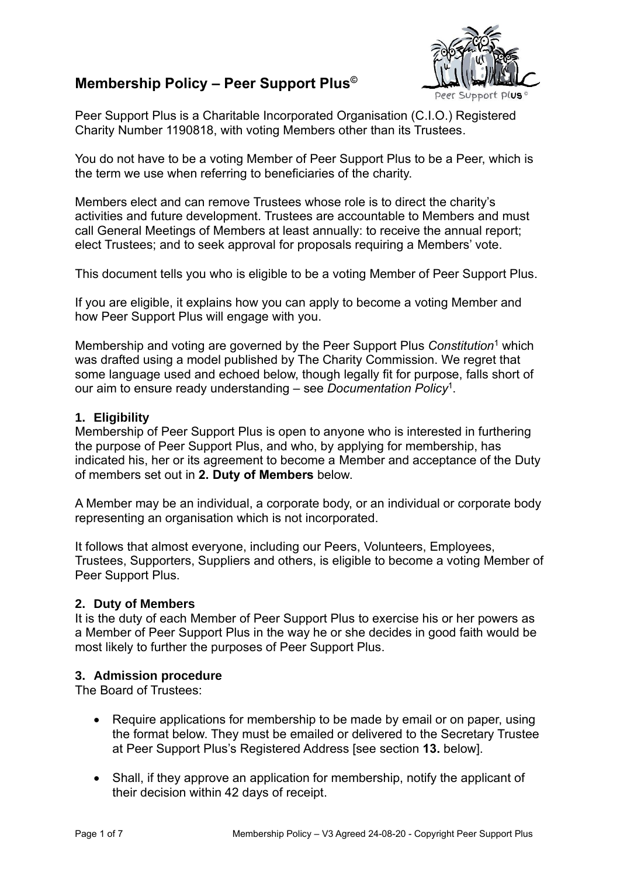# **Membership Policy – Peer Support Plus©**



Peer Support Plus is a Charitable Incorporated Organisation (C.I.O.) Registered Charity Number 1190818, with voting Members other than its Trustees.

You do not have to be a voting Member of Peer Support Plus to be a Peer, which is the term we use when referring to beneficiaries of the charity.

Members elect and can remove Trustees whose role is to direct the charity's activities and future development. Trustees are accountable to Members and must call General Meetings of Members at least annually: to receive the annual report; elect Trustees; and to seek approval for proposals requiring a Members' vote.

This document tells you who is eligible to be a voting Member of Peer Support Plus.

If you are eligible, it explains how you can apply to become a voting Member and how Peer Support Plus will engage with you.

Membership and voting are governed by the Peer Support Plus *Constitution*<sup>1</sup> which was drafted using a model published by The Charity Commission. We regret that some language used and echoed below, though legally fit for purpose, falls short of our aim to ensure ready understanding – see *Documentation Policy*<sup>1</sup> .

### **1. Eligibility**

Membership of Peer Support Plus is open to anyone who is interested in furthering the purpose of Peer Support Plus, and who, by applying for membership, has indicated his, her or its agreement to become a Member and acceptance of the Duty of members set out in **2. Duty of Members** below.

A Member may be an individual, a corporate body, or an individual or corporate body representing an organisation which is not incorporated.

It follows that almost everyone, including our Peers, Volunteers, Employees, Trustees, Supporters, Suppliers and others, is eligible to become a voting Member of Peer Support Plus.

#### **2. Duty of Members**

It is the duty of each Member of Peer Support Plus to exercise his or her powers as a Member of Peer Support Plus in the way he or she decides in good faith would be most likely to further the purposes of Peer Support Plus.

### **3. Admission procedure**

The Board of Trustees:

- Require applications for membership to be made by email or on paper, using the format below. They must be emailed or delivered to the Secretary Trustee at Peer Support Plus's Registered Address [see section **13.** below].
- Shall, if they approve an application for membership, notify the applicant of their decision within 42 days of receipt.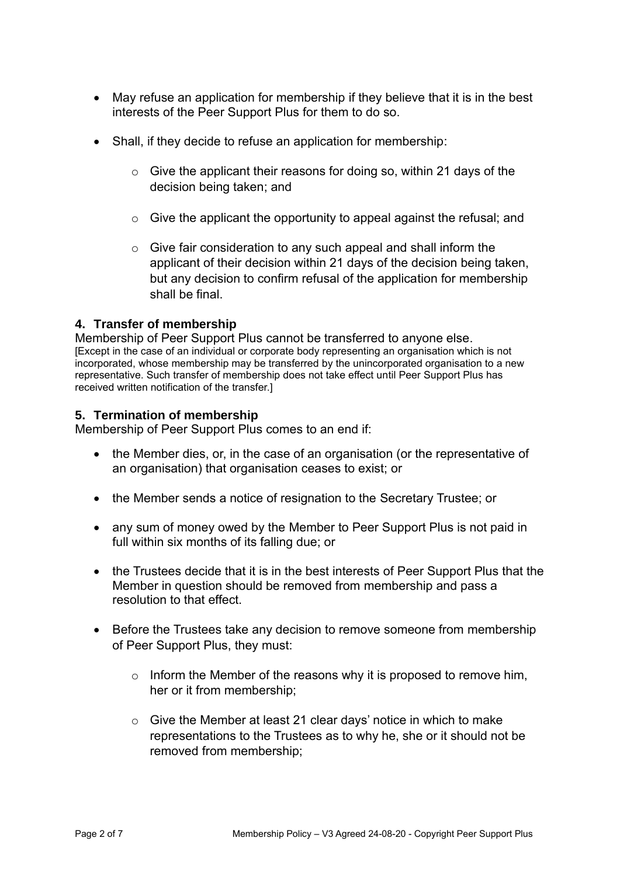- May refuse an application for membership if they believe that it is in the best interests of the Peer Support Plus for them to do so.
- Shall, if they decide to refuse an application for membership:
	- $\circ$  Give the applicant their reasons for doing so, within 21 days of the decision being taken; and
	- o Give the applicant the opportunity to appeal against the refusal; and
	- o Give fair consideration to any such appeal and shall inform the applicant of their decision within 21 days of the decision being taken, but any decision to confirm refusal of the application for membership shall be final.

## **4. Transfer of membership**

Membership of Peer Support Plus cannot be transferred to anyone else. [Except in the case of an individual or corporate body representing an organisation which is not incorporated, whose membership may be transferred by the unincorporated organisation to a new representative. Such transfer of membership does not take effect until Peer Support Plus has received written notification of the transfer.]

## **5. Termination of membership**

Membership of Peer Support Plus comes to an end if:

- the Member dies, or, in the case of an organisation (or the representative of an organisation) that organisation ceases to exist; or
- the Member sends a notice of resignation to the Secretary Trustee; or
- any sum of money owed by the Member to Peer Support Plus is not paid in full within six months of its falling due; or
- the Trustees decide that it is in the best interests of Peer Support Plus that the Member in question should be removed from membership and pass a resolution to that effect.
- Before the Trustees take any decision to remove someone from membership of Peer Support Plus, they must:
	- $\circ$  Inform the Member of the reasons why it is proposed to remove him, her or it from membership;
	- o Give the Member at least 21 clear days' notice in which to make representations to the Trustees as to why he, she or it should not be removed from membership;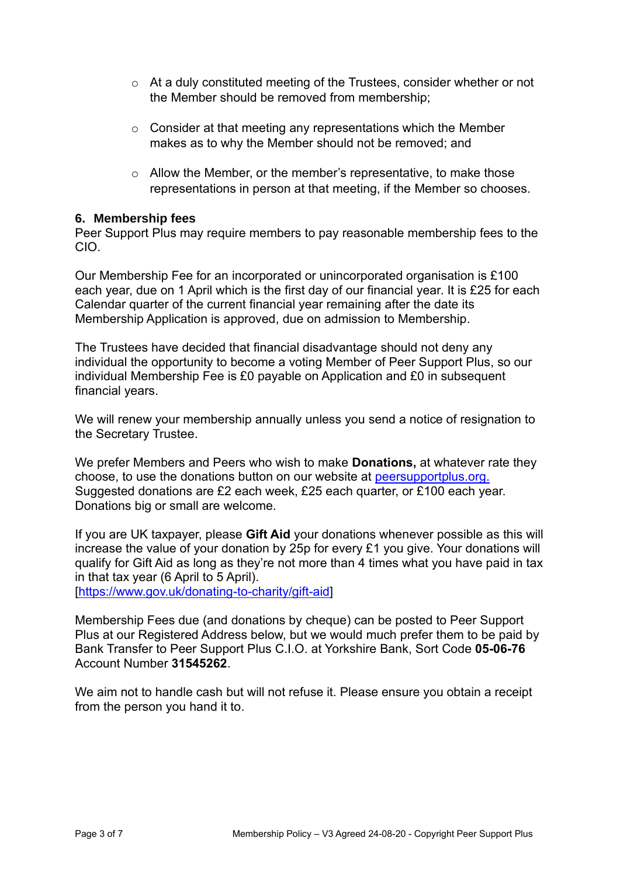- o At a duly constituted meeting of the Trustees, consider whether or not the Member should be removed from membership;
- o Consider at that meeting any representations which the Member makes as to why the Member should not be removed; and
- o Allow the Member, or the member's representative, to make those representations in person at that meeting, if the Member so chooses.

### **6. Membership fees**

Peer Support Plus may require members to pay reasonable membership fees to the CIO.

Our Membership Fee for an incorporated or unincorporated organisation is £100 each year, due on 1 April which is the first day of our financial year. It is £25 for each Calendar quarter of the current financial year remaining after the date its Membership Application is approved, due on admission to Membership.

The Trustees have decided that financial disadvantage should not deny any individual the opportunity to become a voting Member of Peer Support Plus, so our individual Membership Fee is £0 payable on Application and £0 in subsequent financial years.

We will renew your membership annually unless you send a notice of resignation to the Secretary Trustee.

We prefer Members and Peers who wish to make **Donations,** at whatever rate they choose, to use the donations button on our website at [peersupportplus.org.](http://www.peersupportplus.org/) Suggested donations are £2 each week, £25 each quarter, or £100 each year. Donations big or small are welcome.

If you are UK taxpayer, please **Gift Aid** your donations whenever possible as this will increase the value of your donation by 25p for every £1 you give. Your donations will qualify for Gift Aid as long as they're not more than 4 times what you have paid in tax in that tax year (6 April to 5 April).

[\[https://www.gov.uk/donating-to-charity/gift-aid\]](https://www.gov.uk/donating-to-charity/gift-aid)

Membership Fees due (and donations by cheque) can be posted to Peer Support Plus at our Registered Address below, but we would much prefer them to be paid by Bank Transfer to Peer Support Plus C.I.O. at Yorkshire Bank, Sort Code **05-06-76** Account Number **31545262**.

We aim not to handle cash but will not refuse it. Please ensure you obtain a receipt from the person you hand it to.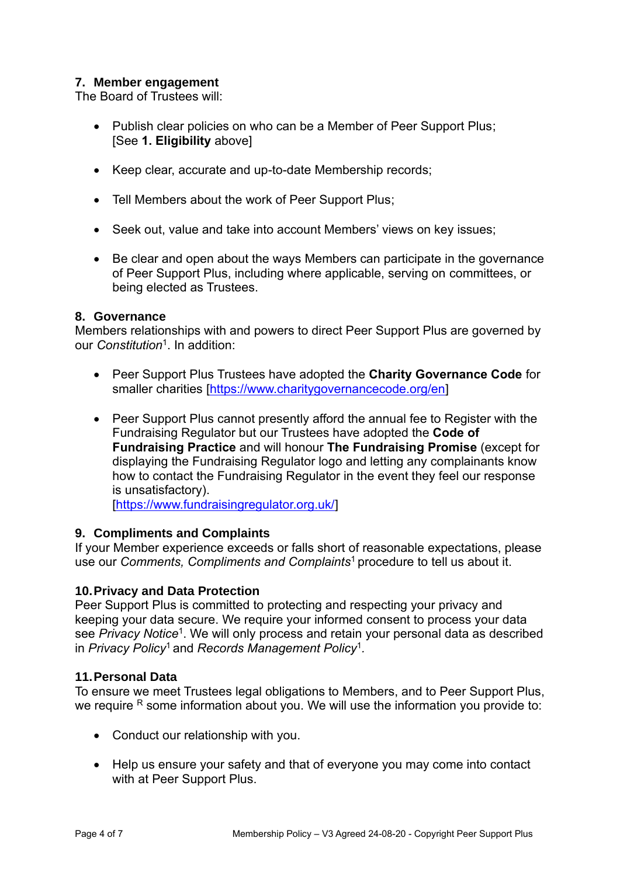## **7. Member engagement**

The Board of Trustees will:

- Publish clear policies on who can be a Member of Peer Support Plus; [See **1. Eligibility** above]
- Keep clear, accurate and up-to-date Membership records;
- Tell Members about the work of Peer Support Plus;
- Seek out, value and take into account Members' views on key issues;
- Be clear and open about the ways Members can participate in the governance of Peer Support Plus, including where applicable, serving on committees, or being elected as Trustees.

#### **8. Governance**

Members relationships with and powers to direct Peer Support Plus are governed by our *Constitution*<sup>1</sup> . In addition:

- Peer Support Plus Trustees have adopted the **Charity Governance Code** for smaller charities [\[https://www.charitygovernancecode.org/en\]](https://www.charitygovernancecode.org/en)
- Peer Support Plus cannot presently afford the annual fee to Register with the Fundraising Regulator but our Trustees have adopted the **Code of Fundraising Practice** and will honour **The Fundraising Promise** (except for displaying the Fundraising Regulator logo and letting any complainants know how to contact the Fundraising Regulator in the event they feel our response is unsatisfactory).

[\[https://www.fundraisingregulator.org.uk/\]](https://www.fundraisingregulator.org.uk/)

### **9. Compliments and Complaints**

If your Member experience exceeds or falls short of reasonable expectations, please use our *Comments, Compliments and Complaints*<sup>1</sup>procedure to tell us about it.

### **10.Privacy and Data Protection**

Peer Support Plus is committed to protecting and respecting your privacy and keeping your data secure. We require your informed consent to process your data see Privacy Notice<sup>1</sup>. We will only process and retain your personal data as described in *Privacy Policy*<sup>1</sup>and *Records Management Policy*<sup>1</sup> *.*

#### **11.Personal Data**

To ensure we meet Trustees legal obligations to Members, and to Peer Support Plus, we require  $R$  some information about you. We will use the information you provide to:

- Conduct our relationship with you.
- Help us ensure your safety and that of everyone you may come into contact with at Peer Support Plus.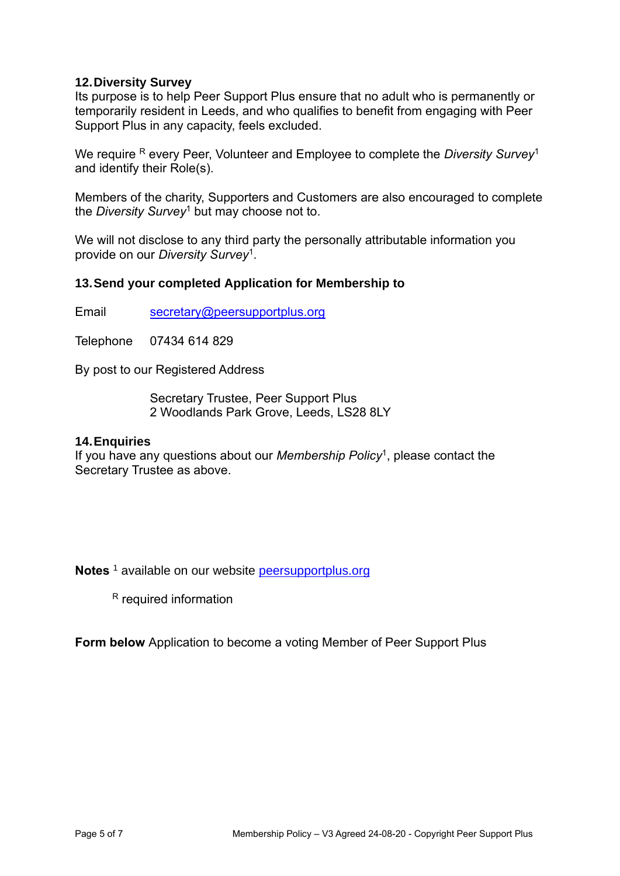### **12.Diversity Survey**

Its purpose is to help Peer Support Plus ensure that no adult who is permanently or temporarily resident in Leeds, and who qualifies to benefit from engaging with Peer Support Plus in any capacity, feels excluded.

We require R every Peer, Volunteer and Employee to complete the *Diversity Survey*<sup>1</sup> and identify their Role(s).

Members of the charity, Supporters and Customers are also encouraged to complete the *Diversity Survey*<sup>1</sup> but may choose not to.

We will not disclose to any third party the personally attributable information you provide on our *Diversity Survey*<sup>1</sup> .

### **13.Send your completed Application for Membership to**

Email secretary@peersupportplus.org

Telephone 07434 614 829

By post to our Registered Address

Secretary Trustee, Peer Support Plus 2 Woodlands Park Grove, Leeds, LS28 8LY

#### **14.Enquiries**

If you have any questions about our *Membership Policy*<sup>1</sup> , please contact the Secretary Trustee as above.

**Notes** <sup>1</sup> available on our website [peersupportplus.org](http://www.peersupportplus.org/)

<sup>R</sup> required information

**Form below** Application to become a voting Member of Peer Support Plus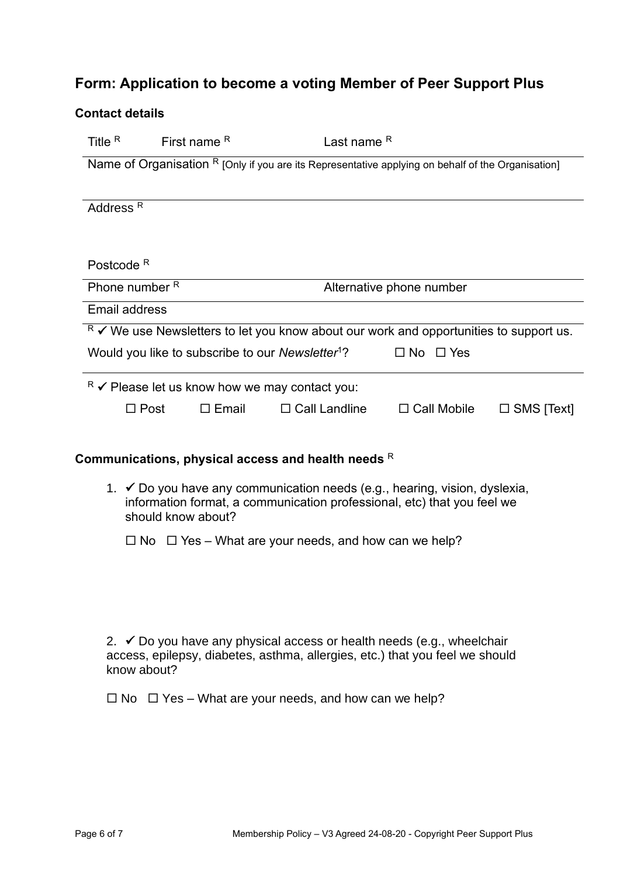# **Form: Application to become a voting Member of Peer Support Plus**

| <b>Contact details</b>                                                                             |                                |                 |                                                              |                      |                   |  |  |  |  |  |
|----------------------------------------------------------------------------------------------------|--------------------------------|-----------------|--------------------------------------------------------------|----------------------|-------------------|--|--|--|--|--|
| Title R                                                                                            | <b>First name <sup>R</sup></b> |                 | Last name R                                                  |                      |                   |  |  |  |  |  |
| Name of Organisation R [Only if you are its Representative applying on behalf of the Organisation] |                                |                 |                                                              |                      |                   |  |  |  |  |  |
| Address <sup>R</sup>                                                                               |                                |                 |                                                              |                      |                   |  |  |  |  |  |
| Postcode <sup>R</sup>                                                                              |                                |                 |                                                              |                      |                   |  |  |  |  |  |
| Phone number R<br>Alternative phone number                                                         |                                |                 |                                                              |                      |                   |  |  |  |  |  |
| <b>Email address</b>                                                                               |                                |                 |                                                              |                      |                   |  |  |  |  |  |
| $R \times$ We use Newsletters to let you know about our work and opportunities to support us.      |                                |                 |                                                              |                      |                   |  |  |  |  |  |
|                                                                                                    |                                |                 | Would you like to subscribe to our Newsletter <sup>1</sup> ? | $\Box$ No $\Box$ Yes |                   |  |  |  |  |  |
| $R \times$ Please let us know how we may contact you:                                              |                                |                 |                                                              |                      |                   |  |  |  |  |  |
|                                                                                                    | $\Box$ Post                    | $\square$ Email | $\Box$ Call Landline                                         | $\Box$ Call Mobile   | $\Box$ SMS [Text] |  |  |  |  |  |

#### **Communications, physical access and health needs** <sup>R</sup>

- 1. ✓ Do you have any communication needs (e.g., hearing, vision, dyslexia, information format, a communication professional, etc) that you feel we should know about?
	- $\Box$  No  $\Box$  Yes What are your needs, and how can we help?

2.  $\checkmark$  Do you have any physical access or health needs (e.g., wheelchair access, epilepsy, diabetes, asthma, allergies, etc.) that you feel we should know about?

 $\Box$  No  $\Box$  Yes – What are your needs, and how can we help?